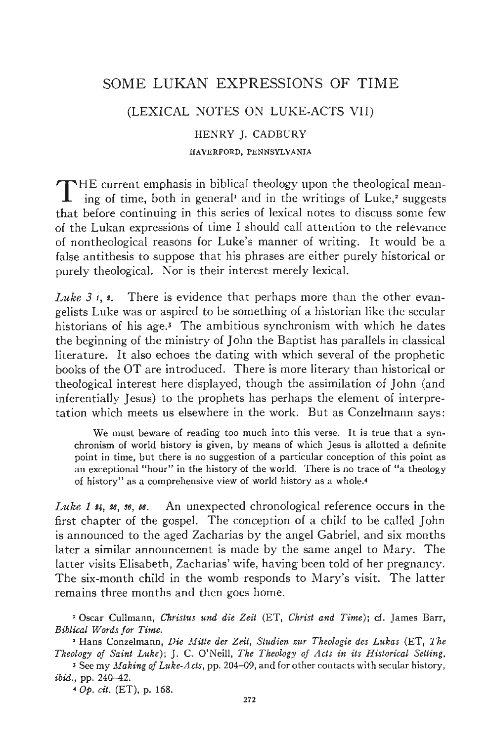## SOME LUKAN EXPRESSIONS OF TIME

## (LEXICAL NOTES ON LUKE-ACTS VII)

HENRY *].* CADBURY HAVERFORD, PENNSYLVANIA

THE current emphasis in biblical theology upon the theological meaning of time, both in general<sup>1</sup> and in the writings of Luke,<sup>2</sup> suggests that before continuing in this series of lexical notes to discuss some few of the Lukan expressions of time I should call attention to the relevance of nontheological reasons for Luke's manner of writing. It would be a false antithesis to suppose that his phrases are either purely historical or purely theological. Nor is their interest merely lexical.

*Luke 3 t, s.* There is evidence that perhaps more than the other evangelists Luke was or aspired to be something of a historian like the secular historians of his age.<sup>3</sup> The ambitious synchronism with which he dates the beginning of the ministry of John the Baptist has parallels in classical literature. It also echoes the dating with which several of the prophetic books of the OT are introduced. There is more literary than historical or theological interest here displayed, though the assimilation of John (and inferentially Jesus) to the prophets has perhaps the element of interpretation which meets us elsewhere in the work. But as Conzelmann says:

We must beware of reading too much into this verse. It is true that a synchronism of world history is given, by means of which Jesus is allotted a definite point in time, but there is no suggestion of a particular conception of this point as an exceptional "hour" in the history of the world. There is no trace of "a theology of history" as a comprehensive view of world history as a whole.•

*Luke 1 24, 26, 56, 68.* An unexpected chronological reference occurs in the first chapter of the gospel. The conception of a child to be called John is announced to the aged Zacharias by the angel Gabriel, and six months later a similar announcement is made by the same angel to Mary. The latter visits Elisabeth, Zacharias' wife, having been told of her pregnancy. The six-month child in the womb responds to Mary's visit. The latter remains three months and then goes home.

<sup>1</sup>Oscar Cullmann, *Christus und die Zeit* (ET, *Christ and Time);* cf. James Barr, *Biblical Words for Time.* 

2 Hans Conzelmann, *Die Mitte der Zeit, Studien zur Theologie des Lukas* (ET, *The Theology of Saint Luke); ].* C. O'Neill, *The Theology of Acts in its Historical Setting.* 

' See my *Making of Luke-Acts,* pp. 204-09, and for other contacts with secular history, *ibid.,* pp. 240-42.

4 Op. *cit.* (ET), p. 168. 272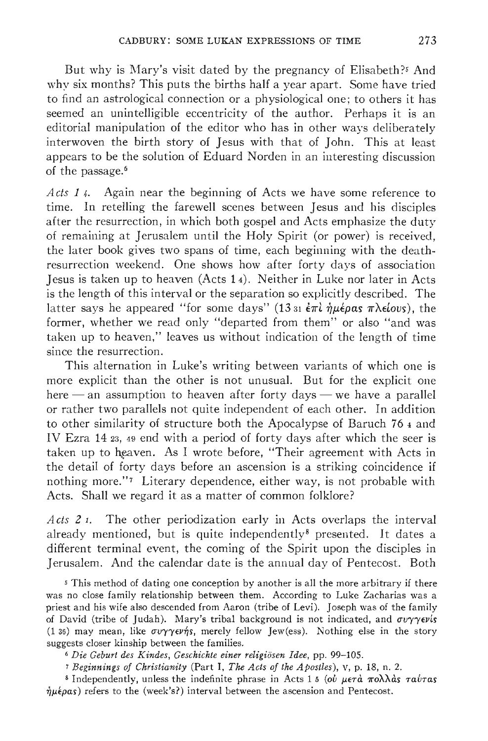But why is Mary's visit dated by the pregnancy of Elisabeth?s And why six months? This puts the births half a year apart. Some have tried to find an astrological connection or a physiological one; to others it has seemed an unintelligible eccentricity of the author. Perhaps it is an editorial manipulation of the editor who has in other ways deliberately interwoven the birth story of Jesus with that of John. This at least appears to be the solution of Eduard Norden in an interesting discussion of the passage.<sup>6</sup>

*Acts 1 4.* Again near the beginning of Acts we have some reference to time. In retelling the farewell scenes between Jesus and his disciples after the resurrection, in which both gospel and Acts emphasize the duty of remaining at Jerusalem until the Holy Spirit (or power) is received, the later book gives two spans of time, each beginning with the deathresurrection weekend. One shows how after forty days of association Jesus is taken up to heaven (Acts 14). Neither in Luke nor later in Acts is the length of this interval or the separation so explicitly described. The latter says he appeared "for some days" (13 31  $\epsilon \pi i \dot{\eta} \mu \dot{\epsilon} \rho \alpha s \pi \lambda \epsilon \dot{\epsilon} \sigma v s$ ), the former, whether we read only "departed from them" or also "and was taken up to heaven," leaves us without indication of the length of time since the resurrection.

This alternation in Luke's writing between variants of which one is more explicit than the other is not unusual. But for the explicit one here  $-$  an assumption to heaven after forty days  $-$  we have a parallel or rather two parallels not quite independent of each other. In addition to other similarity of structure both the Apocalypse of Baruch 76 4 and IV Ezra 14 23, 49 end with a period of forty days after which the seer is taken up to heaven. As I wrote before, "Their agreement with Acts in the detail of forty days before an ascension is a striking coincidence if nothing more."7 Literary dependence, either way, is not probable with Acts. Shall we regard it as a matter of common folklore?

*Acts 2 t.* The other periodization early in Acts overlaps the interval already mentioned, but is quite independently<sup>8</sup> presented. It dates a different terminal event, the coming of the Spirit upon the disciples in Jerusalem. And the calendar date is the annual day of Pentecost. Both

*s* This method of dating one conception by another is all the more arbitrary if there was no close family relationship between them. According to Luke Zacharias was a priest and his wife also descended from Aaron (tribe of Levi). Joseph was of the family of David (tribe of Judah). Mary's tribal background is not indicated, and  $\sigma \nu \gamma \gamma \epsilon \nu$  is (1 36) may mean, like  $\sigma v \gamma \gamma \epsilon v \dot{\gamma} s$ , merely fellow Jew(ess). Nothing else in the story suggests closer kinship between the families.

<sup>6</sup>*Die Geburt des Kindes, Geschichte einer religiosen Idee,* pp. 99-105.

<sup>7</sup>*Beginnings of Christianity* (Part I, *The Acts of the Apostles),* v, p. 18, n. 2.

<sup>8</sup> Independently, unless the indefinite phrase in Acts 1 5 (ov  $\mu \in \hat{\mathcal{A}}$   $\pi$ o $\lambda \lambda$ às  $\tau \alpha \nu \tau \alpha s$  $\dot{\eta}\mu\dot{\epsilon}\rho$ as) refers to the (week's?) interval between the ascension and Pentecost.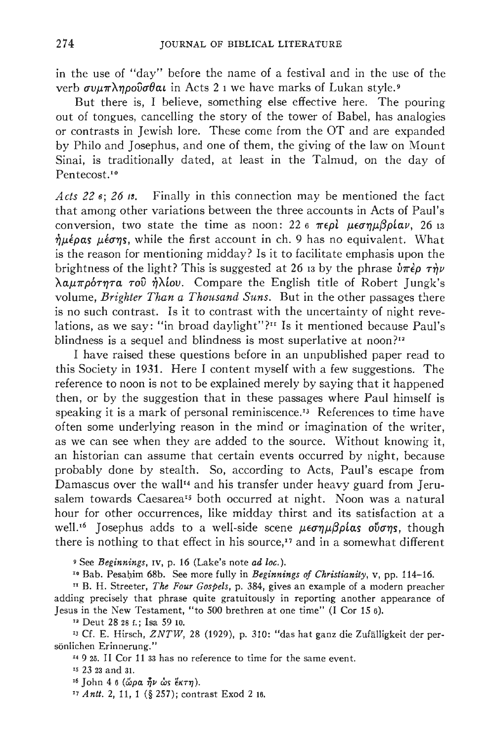in the use of "day" before the name of a festival and in the use of the verb  $\sigma v \mu \pi \lambda n \omega \hat{v} \sigma \theta \alpha \iota$  in Acts 2 1 we have marks of Lukan style.<sup>9</sup>

But there is, I believe, something else effective here. The pouring out of tongues, cancelling the story of the tower of Babel, has analogies or contrasts in Jewish lore. These come from the OT and are expanded by Philo and Josephus, and one of them, the giving of the law on Mount Sinai, is traditionally dated, at least in the Talmud, on the day of Pentecost.'•

*Acts 22 e; 26* 1s. Finally in this connection may be mentioned the fact that among other variations between the three accounts in Acts of Paul's conversion, two state the time as noon: 22  $\epsilon$   $\pi \epsilon \rho \partial \rho \mu \partial \rho \partial \rho \partial \alpha \nu$ , 26 13  $\dot{\eta}$ *μέραs μέσηs, while the first account in ch.* 9 has no equivalent. What is the reason for mentioning midday? Is it to facilitate emphasis upon the brightness of the light? This is suggested at 26 13 by the phrase  $\hat{v}\pi\hat{e}\rho\tau\hat{n}\nu$ λαμπρότητα τοῦ ήλίου. Compare the English title of Robert Jungk's volume, *Brighter Than a Thousand Suns.* But in the other passages there is no such contrast. Is it to contrast with the uncertainty of night revelations, as we say: "in broad daylight"?" Is it mentioned because Paul's blindness is a sequel and blindness is most superlative at noon?<sup>12</sup>

I have raised these questions before in an unpublished paper read to this Society in 1931. Here I content myself with a few suggestions. The reference to noon is not to be explained merely by saying that it happened then, or by the suggestion that in these passages where Paul himself is speaking it is a mark of personal reminiscence.<sup> $13$ </sup> References to time have often some underlying reason in the mind or imagination of the writer, as we can see when they are added to the source. Without knowing it, an historian can assume that certain events occurred by night, because probably done by stealth. So, according to Acts, Paul's escape from Damascus over the wall<sup>14</sup> and his transfer under heavy guard from Jerusalem towards Caesarea's both occurred at night. Noon was a natural hour for other occurrences, like midday thirst and its satisfaction at a well.<sup>16</sup> Josephus adds to a well-side scene *μεσημβρίαs ovons*, though there is nothing to that effect in his source, $17$  and in a somewhat different

*<sup>9</sup>*See *Beginnings,* IV, p. 16 (Lake's note *ad loc.).* 

<sup>to</sup> Bab. Pesahim 68b. See more fully in *Beginnings of Christianity*, **v**, pp. 114-16.

<sup>11</sup> B. H. Streeter, *The Four Gospels*, p. 384, gives an example of a modern preacher adding precisely that phrase quite gratuitously in reporting another appearance of Jesus in the New Testament, "to *500* brethren at one time" (I Cor 15 6).

<sup>12</sup> Deut 28 28 f.; Isa 59 10.

<sup>13</sup> Cf. E. Hirsch,  $ZNTW$ , 28 (1929), p. 310: "das hat ganz die Zufälligkeit der persönlichen Erinnerung."

 $14925$ . II Cor 11 33 has no reference to time for the same event.

'5 23 23 and 31.

<sup>16</sup> John 4 6 (ὤρα  $\tilde{n}$ ν ώς ἕκτη).

*•1 Antt.* 2, 11, 1 (§ 257); contrast Exod 2 16.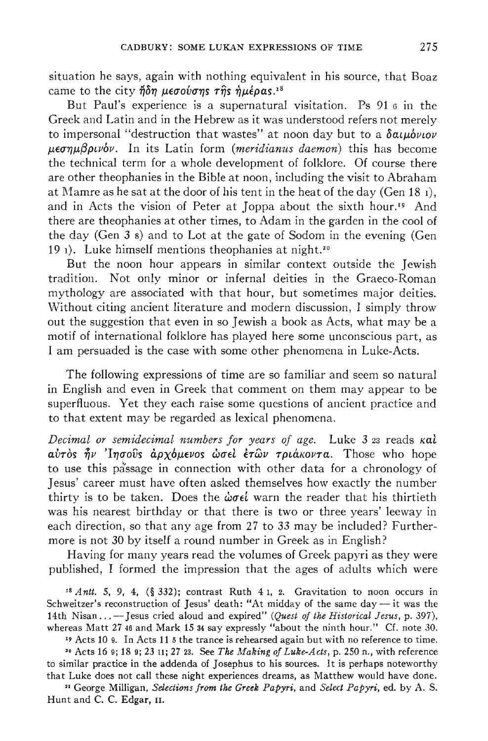situation he says, again with nothing equivalent in his source, that Boaz came to the city  $\tilde{\eta} \delta \eta$   $\mu \epsilon \sigma$ oύσης της ήμέρας.<sup>18</sup>

But Paul's experience is a supernatural visitation. Ps 91 6 in the Greek and Latin and in the Hebrew as it was understood refers not merely to impersonal "destruction that wastes" at noon day but to a  $\delta a\mu b\nu o\nu$ μεσημβρινόν. In its Latin form *(meridianus daemon)* this has become the technical term for a whole development of folklore. Of course there are other theophanies in the Bible at noon, including the visit to Abraham at Mamre as he sat at the door of his tent in the heat of the day (Gen 18 1), and in Acts the vision of Peter at Joppa about the sixth hour.'9 And there are theophanies at other times, to Adam in the garden in the cool of the day (Gen 3 s) and to Lot at the gate of Sodom in the evening (Gen 19 1). Luke himself mentions theophanies at night.<sup>20</sup>

But the noon hour appears in similar context outside the Jewish tradition. Not only minor or infernal deities in the Graeco-Roman mythology are associated with that hour, but sometimes major deities. Without citing ancient literature and modern discussion, I simply throw out the suggestion that even in so Jewish a book as Acts, what may be a motif of international folklore has played here some unconscious part, as I am persuaded is the case with some other phenomena in Luke-Acts.

The following expressions of time are so familiar and seem so natural in English and even in Greek that comment on them may appear to be superfluous. Yet they each raise some questions of ancient practice and to that extent may be regarded as lexical phenomena.

*Decimal or semidecimal numbers for years of age.* Luke 3 23 reads *KaL*  aύτος ήν 'Inσούς αρχόμενος ώσει έτων τριάκοντα. Those who hope to use this passage in connection with other data for a chronology of Jesus' career must have often asked themselves how exactly the number thirty is to be taken. Does the  $\omega \sigma \epsilon \ell$  warn the reader that his thirtieth was his nearest birthday or that there is two or three years' leeway in each direction, so that any age from 27 to 33 may be included? Furthermore is not 30 by itself a round number in Greek as in English?

Having for many years read the volumes of Greek papyri as they were published, I formed the impression that the ages of adults which were

<sup>18</sup> Antt. 5, 9, 4,  $(\S$  332); contrast Ruth 4 1, 2. Gravitation to noon occurs in Schweitzer's reconstruction of Jesus' death: "At midday of the same day -- it was the 14th Nisan ... - Jesus cried aloud and expired" *(Quest of the Historical Jesus,* p. 397), whereas Matt 27 46 and Mark 15 34 say expressly "about the ninth hour." Cf. note 30.

'9 Acts 10 9. In Acts 11 *5* the trance is rehearsed again but with no reference to time. 20 Acts 16 9; 18 9; 23 11; 27 23. See *The Making of Luke-Acts,* p. 250 n., with reference

to similar practice in the addenda of Josephus to his sources. It is perhaps noteworthy that Luke does not call these night experiences dreams, as Matthew would have done.

" George Milligan, *Selections from the Greek Papyri,* and *Select Papyri,* ed. by A. S. Hunt and C. C. Edgar, II.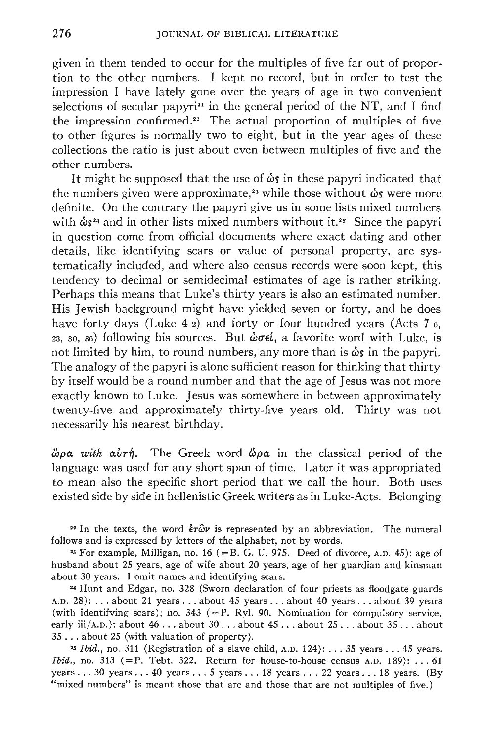given in them tended to occur for the multiples of five far out of proportion to the other numbers. I kept no record, but in order to test the impression I have lately gone over the years of age in two convenient selections of secular papyri<sup>21</sup> in the general period of the NT, and I find the impression confirmed.<sup>22</sup> The actual proportion of multiples of five to other figures is normally two to eight, but in the year ages of these collections the ratio is just about even between multiples of five and the other numbers.

It might be supposed that the use of  $\dot{\omega}s$  in these papyri indicated that the numbers given were approximate,<sup>23</sup> while those without  $\dot{\omega}$ s were more definite. On the contrary the papyri give us in some lists mixed numbers with  $\dot{\omega} s^{24}$  and in other lists mixed numbers without it.<sup>25</sup> Since the papyri in question come from official documents where exact dating and other details, like identifying scars or value of personal property, are systematically included, and where also census records were soon kept, this tendency to decimal or semidecimal estimates of age is rather striking. Perhaps this means that Luke's thirty years is also an estimated number. His Jewish background might have yielded seven or forty, and he does have forty days (Luke 4 2) and forty or four hundred years (Acts 7 6, 23, 30, 36) following his sources. But  $\dot{\omega} \sigma \epsilon \dot{\ell}$ , a favorite word with Luke, is not limited by him, to round numbers, any more than is  $\dot{\omega}s$  in the papyri. The analogy of the papyri is alone sufficient reason for thinking that thirty by itself would be a round number and that the age of Jesus was not more exactly known to Luke. Jesus was somewhere in between approximately twenty-five and approximately thirty-five years old. Thirty was not necessarily his nearest birthday.

 $\omega \rho a$  *with*  $a\dot{v} \tau \dot{\eta}$ . The Greek word  $\omega \rho a$  in the classical period of the language was used for any short span of time. Later it was appropriated to mean also the specific short period that we call the hour. Both uses existed side by side in hellenistic Greek writers as in Luke-Acts. Belonging

<sup>22</sup> In the texts, the word  $\frac{\partial \psi}{\partial x}$  is represented by an abbreviation. The numeral follows and is expressed by letters of the alphabet, not by words.<br><sup>23</sup> For example, Milligan, no. 16 (=B. G. U. 975. Deed of divorce, A.D. 45): age of

husband about 25 years, age of wife about 20 years, age of her guardian and kinsman about 30 years. I omit names and identifying scars. 24 Hunt and Edgar, no. 328 (Sworn declaration of four priests as floodgate guards

A.D. 28): ... about 21 years ... about 45 years ... about 40 years ... about 39 years (with identifying scars); no. 343 ( $=$  P. Ryl. 90. Nomination for compulsory service, early iii/A.D.): about  $46...$  about  $30...$  about  $45...$  about  $25...$  about  $35...$  about  $25...$  about  $25$  (with valuation of property).

<sup>25</sup> *Ibid.*, no. 311 (Registration of a slave child, A.D. 124): ... 35 years ... 45 years. *Ibid.,* no. 313 (=P. Tebt. 322. Return for house-to-house census A.D. 189): ... 61 years . . . 30 years . .. 40 years . .. *5* years ... 18 years ... 22 years ... 18 years. (By "mixed numbers" is meant those that are and those that are not multiples of five.)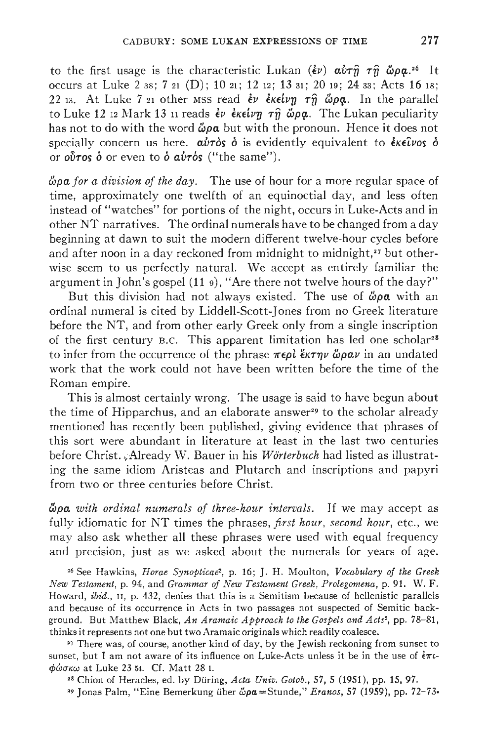to the first usage is the characteristic Lukan  $(\epsilon v)$   $\alpha \nu \hat{\eta}$   $\tau \hat{\eta}$   $\omega \rho \alpha^{i}$ .<sup>16</sup> occurs at Luke 2 38; 7 21 (D); 10 21; 12 12; 13 31; 20 19; 24 33; Acts 16 1s; 22 13. At Luke 7 21 other MSS read  $\epsilon \nu$   $\epsilon \kappa \epsilon \nu \eta$   $\tau \hat{\eta}$   $\omega \rho \alpha$ . In the parallel to Luke 12 12 Mark 13 11 reads  $\epsilon \nu$   $\epsilon \kappa \epsilon \nu \eta$   $\tau \hat{\eta}$   $\omega \rho \alpha$ . The Lukan peculiarity has not to do with the word  $\mathring{\omega}$ *pa* but with the pronoun. Hence it does not specially concern us here.  $a\dot{v}\tau\dot{\phi}s$  *is evidently equivalent to*  $\dot{\epsilon}\kappa\epsilon\hat{\iota}\nu$ *os*  $\dot{\phi}$ or *OVTOS* 0 or even to 0 *avT6s* ("the same").

*wpa for a division of the day.* The use of hour for a more regular space of time, approximately one twelfth of an equinoctial day, and less often instead of "watches" for portions of the night, occurs in Luke-Acts and in other NT narratives. The ordinal numerals have to be changed from a day beginning at dawn to suit the modern different twelve-hour cycles before and after noon in a day reckoned from midnight to midnight, $27$  but otherwise seem to us perfectly natural. We accept as entirely familiar the argument in John's gospel (11 9), "Are there not twelve hours of the day?"

But this division had not always existed. The use of  $\omega \rho \alpha$  with an ordinal numeral is cited by Liddeii-Scott-J ones from no Greek literature before the NT, and from other early Greek only from a single inscription of the first century B.C. This apparent limitation has led one scholar<sup>28</sup> to infer from the occurrence of the phrase  $\pi \epsilon \rho \hat{i}$   $\ell \kappa \tau \eta \nu \omega \rho \alpha \nu$  in an undated work that the work could not have been written before the time of the Roman empire.

This is almost certainly wrong. The usage is said to have begun about the time of Hipparchus, and an elaborate answer<sup>29</sup> to the scholar already mentioned has recently been published, giving evidence that phrases of this sort were abundant in literature at least in the last two centuries before Christ. Already W. Bauer in his *Wörterbuch* had listed as illustrating the same idiom Aristeas and Plutarch and inscriptions and papyri from two or three centuries before Christ.

*wpa with ordinal numerals of three-hour intervals.* If we may accept as fully idiomatic for NT times the phrases, *first hour, second hour,* etc., we may also ask whether all these phrases were used with equal frequency and precision, just as we asked about the numerals for years of age.

•6 See Hawkins, *Horae Synopticae•,* p. 16; J. H. Moulton, *Vocabulary of the Greek New Testament, p. 94, and Grammar of New Testament Greek, Prolegomena, p. 91. W. F.* Howard, *ibid.,* II, p. 432, denies that this is a Semitism because of hellenistic parallels and because of its occurrence in Acts in two passages not suspected of Semitic background. But Matthew Black, *An Aramaic Approach to the Gospels and Acts•,* pp. 78-81, thinks it represents not one but two Aramaic originals which readily coalesce.

<sup>27</sup> There was, of course, another kind of day, by the Jewish reckoning from sunset to sunset, but I am not aware of its influence on Luke-Acts unless it be in the use of *brt-*  $\phi\omega\sigma\kappa\omega$  at Luke 23 54. Cf. Matt 28 1.

' 8 Chion of Heracles, ed. by During, *Acta Univ. Gotob.,* 57, *5* (1951), pp. 15, 97.

•• Jonas Palm, "Eine Bemerkung tiber wpa=Stunde," *Eranos,* 57 (1959), pp. 72-73·